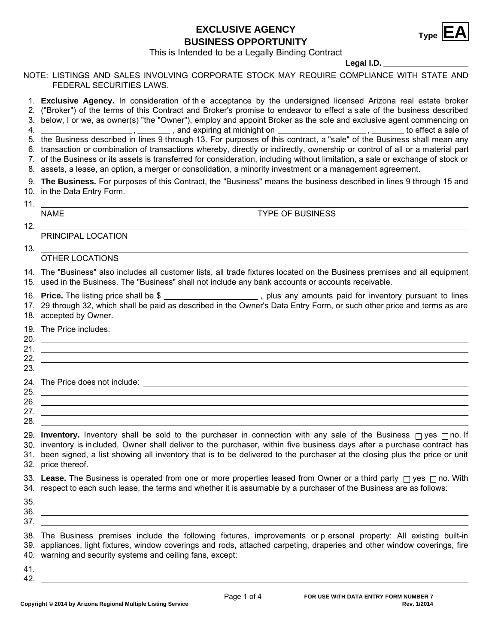# **EXCLUSIVE AGENCY<br>BUSINESS OPPORTUNITY**



This is Intended to be a Legally Binding Contract

### **Legal I.D.**

NOTE: LISTINGS AND SALES INVOLVING CORPORATE STOCK MAY REQUIRE COMPLIANCE WITH STATE AND FEDERAL SECURITIES LAWS.

1. **Exclusive Agency.** In consideration of th e acceptance by the undersigned licensed Arizona real estate broker

2. ("Broker") of the terms of this Contract and Broker's promise to endeavor to effect a sale of the business described 3. below, I or we, as owner(s) "the "Owner"), employ and appoint Broker as the sole and exclusive agent commencing on

4. <u>\_\_\_\_\_\_\_\_\_\_\_\_\_\_\_\_\_\_\_\_\_\_\_\_, \_\_\_\_\_\_\_\_</u> , and expiring at midnight on \_\_\_\_\_\_\_\_\_\_\_\_\_\_\_\_\_\_\_\_\_, \_\_\_\_\_\_\_\_\_ to effect a sale of

5. the Business described in lines 9 through 13. For purposes of this contract, a "sale" of the Business shall mean any

6. transaction or combination of transactions whereby, directly or indirectly, ownership or control of all or a material part

- 7. of the Business or its assets is transferred for consideration, including without limitation, a sale or exchange of stock or
- 8. assets, a lease, an option, a merger or consolidation, a minority investment or a management agreement.

10. in the Data Entry Form. **The Business.** For purposes of this Contract, the "Business" means the business described in lines 9 through 15 and 9.

11.

NAME TYPE OF BUSINESS

12.

PRINCIPAL LOCATION

13.

## OTHER LOCATIONS

14. The "Business" also includes all customer lists, all trade fixtures located on the Business premises and all equipment 15. used in the Business. The "Business" shall not include any bank accounts or accounts receivable.

16. **Price.** The listing price shall be \$ \_\_\_\_\_\_\_\_\_\_\_\_\_\_\_\_\_\_\_\_\_\_, plus any amounts paid for inventory pursuant to lines 17. 29 through 32, which shall be paid as described in the Owner's Data Entry Form, or such other price and terms as are 18. accepted by Owner.

| 22. |                                                                                                                      |
|-----|----------------------------------------------------------------------------------------------------------------------|
| 23. | <u> 1989 - Andrea Santa Alemania, amerikana amerikana amerikana amerikana amerikana amerikana amerikana amerikan</u> |
|     |                                                                                                                      |
|     | 25.                                                                                                                  |
| 26. |                                                                                                                      |
| 27. |                                                                                                                      |
| 28. |                                                                                                                      |

29. **Inventory.** Inventory shall be sold to the purchaser in connection with any sale of the Business  $\Box$  yes  $\Box$  no. If 30. inventory is included, Owner shall deliver to the purchaser, within five business days after a purchase contract has 31. been signed, a list showing all inventory that is to be delivered to the purchaser at the closing plus the price or unit 32. price thereof.

33. Lease. The Business is operated from one or more properties leased from Owner or a third party  $\Box$  yes  $\Box$  no. With 34. respect to each such lease, the terms and whether it is assumable by a purchaser of the Business are as follows:

35. 36.

37.

The Business premises include the following fixtures, improvements or p ersonal property: All existing built-in 38. 39. appliances, light fixtures, window coverings and rods, attached carpeting, draperies and other window coverings, fire 40. warning and security systems and ceiling fans, except:

41. 42.

Produced with zipForm® by zipLogix 18070 Fifteen Mile Road, Fraser, Michigan 48026 www.zipLogix.com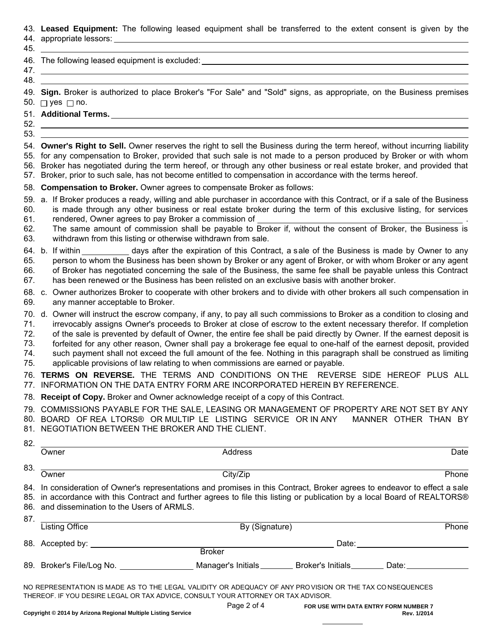#### 43. **Leased Equipment:** The following leased equipment shall be transferred to the extent consent is given by the

44. appropriate lessors:

45.

| −⊤∨. |                                                 |  |
|------|-------------------------------------------------|--|
|      | 46. The following leased equipment is excluded: |  |
| -47  |                                                 |  |
| -48  |                                                 |  |
|      | .<br>__ _ _<br>.<br>_ _ _ _                     |  |

49. **Sign.** Broker is authorized to place Broker's "For Sale" and "Sold" signs, as appropriate, on the Business premises 50.  $\Box$  yes  $\Box$  no.

#### 51. **Additional Terms.**

#### 52. 53.

54. **Owner's Right to Sell.** Owner reserves the right to sell the Business during the term hereof, without incurring liability 55. for any compensation to Broker, provided that such sale is not made to a person produced by Broker or with whom 56. Broker has negotiated during the term hereof, or through any other business or real estate broker, and provided that 57. Broker, prior to such sale, has not become entitled to compensation in accordance with the terms hereof.

**Compensation to Broker.** Owner agrees to compensate Broker as follows: 58.

60. 61. 59.  $\,$ a. If Broker produces a ready, willing and able purchaser in accordance with this Contract, or if a sale of the Business is made through any other business or real estate broker during the term of this exclusive listing, for services rendered, Owner agrees to pay Broker a commission of .

- 62.
- 63. The same amount of commission shall be payable to Broker if, without the consent of Broker, the Business is withdrawn from this listing or otherwise withdrawn from sale.
- 66. b. If within 64. 67. days after the expiration of this Contract, a sale of the Business is made by Owner to any person to whom the Business has been shown by Broker or any agent of Broker, or with whom Broker or any agent of Broker has negotiated concerning the sale of the Business, the same fee shall be payable unless this Contract has been renewed or the Business has been relisted on an exclusive basis with another broker. 65.
- 68. c. Owner authorizes Broker to cooperate with other brokers and to divide with other brokers all such compensation in 69. any manner acceptable to Broker.
- 70. d. Owner will instruct the escrow company, if any, to pay all such commissions to Broker as a condition to closing and
- 71. irrevocably assigns Owner's proceeds to Broker at close of escrow to the extent necessary therefor. If completion
- 72. of the sale is prevented by default of Owner, the entire fee shall be paid directly by Owner. If the earnest deposit is
- 73. forfeited for any other reason, Owner shall pay a brokerage fee equal to one-half of the earnest deposit, provided
- such payment shall not exceed the full amount of the fee. Nothing in this paragraph shall be construed as limiting 74.
- applicable provisions of law relating to when commissions are earned or payable. 75.

76. **TERMS ON REVERSE.** THE TERMS AND CONDITIONS ON THE REVERSE SIDE HEREOF PLUS ALL 77. INFORMATION ON THE DATA ENTRY FORM ARE INCORPORATED HEREIN BY REFERENCE.

78. **Receipt of Copy.** Broker and Owner acknowledge receipt of a copy of this Contract.

79. COMMISSIONS PAYABLE FOR THE SALE, LEASING OR MANAGEMENT OF PROPERTY ARE NOT SET BY ANY

80. BOARD OF REA LTORS® OR MULTIP LE LISTING SERVICE OR IN ANY MANNER OTHER THAN BY

81. NEGOTIATION BETWEEN THE BROKER AND THE CLIENT.

| 82. |                                                                                                                                                                                                                                                                                                        |                |  |                                                                                                                                                                                                                                |  |  |  |
|-----|--------------------------------------------------------------------------------------------------------------------------------------------------------------------------------------------------------------------------------------------------------------------------------------------------------|----------------|--|--------------------------------------------------------------------------------------------------------------------------------------------------------------------------------------------------------------------------------|--|--|--|
|     | Owner                                                                                                                                                                                                                                                                                                  | Address        |  | Date                                                                                                                                                                                                                           |  |  |  |
| 83. |                                                                                                                                                                                                                                                                                                        |                |  |                                                                                                                                                                                                                                |  |  |  |
|     | Owner                                                                                                                                                                                                                                                                                                  | City/Zip       |  | Phone                                                                                                                                                                                                                          |  |  |  |
|     | 84. In consideration of Owner's representations and promises in this Contract, Broker agrees to endeavor to effect a sale<br>85. in accordance with this Contract and further agrees to file this listing or publication by a local Board of REALTORS®<br>86. and dissemination to the Users of ARMLS. |                |  |                                                                                                                                                                                                                                |  |  |  |
| 87. | <b>Listing Office</b>                                                                                                                                                                                                                                                                                  | By (Signature) |  | Phone                                                                                                                                                                                                                          |  |  |  |
|     |                                                                                                                                                                                                                                                                                                        |                |  | Date: the contract of the contract of the contract of the contract of the contract of the contract of the contract of the contract of the contract of the contract of the contract of the contract of the contract of the cont |  |  |  |
|     |                                                                                                                                                                                                                                                                                                        | <b>Broker</b>  |  |                                                                                                                                                                                                                                |  |  |  |
|     | 89. Broker's File/Log No. ____________________Manager's Initials__________Broker's Initials_________Date:_____________                                                                                                                                                                                 |                |  |                                                                                                                                                                                                                                |  |  |  |
|     | NO REPRESENTATION IS MADE AS TO THE LEGAL VALIDITY OR ADEQUACY OF ANY PROVISION OR THE TAX CONSEQUENCES<br>THEREOF. IF YOU DESIRE LEGAL OR TAX ADVICE, CONSULT YOUR ATTORNEY OR TAX ADVISOR.                                                                                                           |                |  |                                                                                                                                                                                                                                |  |  |  |

Page 2 of 4

Produced with zipForm® by zipLogix 18070 Fifteen Mile Road, Fraser, Michigan 48026 www.zipLogix.com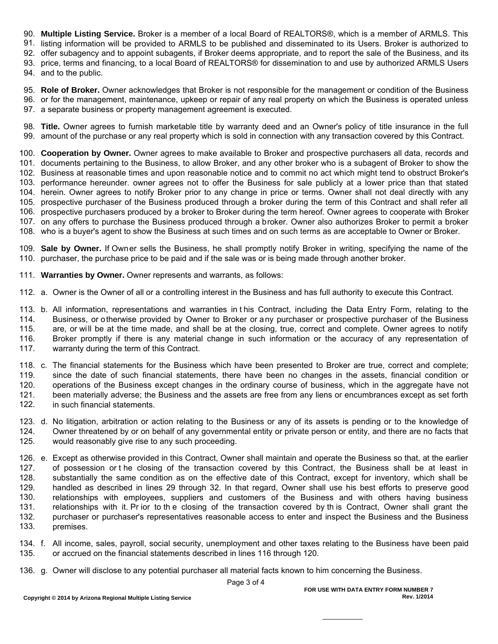**Multiple Listing Service.** Broker is a member of a local Board of REALTORS®, which is a member of ARMLS. This 90.

91. listing information will be provided to ARMLS to be published and disseminated to its Users. Broker is authorized to

92. offer subagency and to appoint subagents, if Broker deems appropriate, and to report the sale of the Business, and its

93. price, terms and financing, to a local Board of REALTORS® for dissemination to and use by authorized ARMLS Users 94. and to the public.

95. **Role of Broker.** Owner acknowledges that Broker is not responsible for the management or condition of the Business 96. or for the management, maintenance, upkeep or repair of any real property on which the Business is operated unless 97. a separate business or property management agreement is executed.

98. **Title.** Owner agrees to furnish marketable title by warranty deed and an Owner's policy of title insurance in the full 99. amount of the purchase or any real property which is sold in connection with any transaction covered by this Contract.

100. **Cooperation by Owner.** Owner agrees to make available to Broker and prospective purchasers all data, records and 101. documents pertaining to the Business, to allow Broker, and any other broker who is a subagent of Broker to show the 102. Business at reasonable times and upon reasonable notice and to commit no act which might tend to obstruct Broker's 103. performance hereunder. owner agrees not to offer the Business for sale publicly at a lower price than that stated 104. herein. Owner agrees to notify Broker prior to any change in price or terms. Owner shall not deal directly with any 105. prospective purchaser of the Business produced through a broker during the term of this Contract and shall refer all 106. prospective purchasers produced by a broker to Broker during the term hereof. Owner agrees to cooperate with Broker 107. on any offers to purchase the Business produced through a broker. Owner also authorizes Broker to permit a broker 108. who is a buyer's agent to show the Business at such times and on such terms as are acceptable to Owner or Broker.

109. **Sale by Owner.** If Owner sells the Business, he shall promptly notify Broker in writing, specifying the name of the 110. purchaser, the purchase price to be paid and if the sale was or is being made through another broker.

**Warranties by Owner.** Owner represents and warrants, as follows: 111.

112. a. Owner is the Owner of all or a controlling interest in the Business and has full authority to execute this Contract.

113. b. All information, representations and warranties in t his Contract, including the Data Entry Form, relating to the 114. 115. Business, or otherwise provided by Owner to Broker or any purchaser or prospective purchaser of the Business are, or will be at the time made, and shall be at the closing, true, correct and complete. Owner agrees to notify Broker promptly if there is any material change in such information or the accuracy of any representation of warranty during the term of this Contract. 116. 117.

118. c. The financial statements for the Business which have been presented to Broker are true, correct and complete; 119. 120. since the date of such financial statements, there have been no changes in the assets, financial condition or operations of the Business except changes in the ordinary course of business, which in the aggregate have not been materially adverse; the Business and the assets are free from any liens or encumbrances except as set forth in such financial statements. 121. 122.

123. d. No litigation, arbitration or action relating to the Business or any of its assets is pending or to the knowledge of 124. 125. Owner threatened by or on behalf of any governmental entity or private person or entity, and there are no facts that would reasonably give rise to any such proceeding.

126. e. Except as otherwise provided in this Contract, Owner shall maintain and operate the Business so that, at the earlier 127. 128. of possession or t he closing of the transaction covered by this Contract, the Business shall be at least in substantially the same condition as on the effective date of this Contract, except for inventory, which shall be handled as described in lines 29 through 32. In that regard, Owner shall use his best efforts to preserve good relationships with employees, suppliers and customers of the Business and with others having business relationships with it. Pr ior to th e closing of the transaction covered by th is Contract, Owner shall grant the purchaser or purchaser's representatives reasonable access to enter and inspect the Business and the Business premises. 129. 130. 131. 132. 133.

134. f. All income, sales, payroll, social security, unemployment and other taxes relating to the Business have been paid 135. or accrued on the financial statements described in lines 116 through 120.

136. g. Owner will disclose to any potential purchaser all material facts known to him concerning the Business.

Page 3 of 4

Produced with zipForm® by zipLogix 18070 Fifteen Mile Road, Fraser, Michigan 48026 www.zipLogix.com